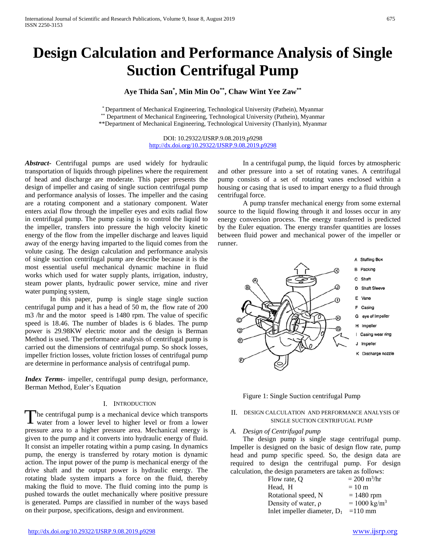# **Design Calculation and Performance Analysis of Single Suction Centrifugal Pump**

## **Aye Thida San\* , Min Min Oo\*\*, Chaw Wint Yee Zaw\*\***

\* Department of Mechanical Engineering, Technological University (Pathein), Myanmar \*\* Department of Mechanical Engineering, Technological University (Pathein), Myanmar \*\*Department of Mechanical Engineering, Technological University (Thanlyin), Myanmar

> DOI: 10.29322/IJSRP.9.08.2019.p9298 <http://dx.doi.org/10.29322/IJSRP.9.08.2019.p9298>

*Abstract***-** Centrifugal pumps are used widely for hydraulic transportation of liquids through pipelines where the requirement of head and discharge are moderate. This paper presents the design of impeller and casing of single suction centrifugal pump and performance analysis of losses. The impeller and the casing are a rotating component and a stationary component. Water enters axial flow through the impeller eyes and exits radial flow in centrifugal pump. The pump casing is to control the liquid to the impeller, transfers into pressure the high velocity kinetic energy of the flow from the impeller discharge and leaves liquid away of the energy having imparted to the liquid comes from the volute casing. The design calculation and performance analysis of single suction centrifugal pump are describe because it is the most essential useful mechanical dynamic machine in fluid works which used for water supply plants, irrigation, industry, steam power plants, hydraulic power service, mine and river water pumping system,

In this paper, pump is single stage single suction centrifugal pump and it has a head of 50 m, the flow rate of 200 m3 /hr and the motor speed is 1480 rpm. The value of specific speed is 18.46. The number of blades is 6 blades. The pump power is 29.98KW electric motor and the design is Berman Method is used. The performance analysis of centrifugal pump is carried out the dimensions of centrifugal pump. So shock losses, impeller friction losses, volute friction losses of centrifugal pump are determine in performance analysis of centrifugal pump.

*Index Terms*- impeller, centrifugal pump design, performance, Berman Method, Euler's Equation

## I. INTRODUCTION

The centrifugal pump is a mechanical device which transports water from a lower level to higher level or from a lower pressure area to a higher pressure area. Mechanical energy is given to the pump and it converts into hydraulic energy of fluid. It consist an impeller rotating within a pump casing. In dynamics pump, the energy is transferred by rotary motion is dynamic action. The input power of the pump is mechanical energy of the drive shaft and the output power is hydraulic energy. The rotating blade system imparts a force on the fluid, thereby making the fluid to move. The fluid coming into the pump is pushed towards the outlet mechanically where positive pressure is generated. Pumps are classified in number of the ways based on their purpose, specifications, design and environment. T

In a centrifugal pump, the liquid forces by atmospheric and other pressure into a set of rotating vanes. A centrifugal pump consists of a set of rotating vanes enclosed within a housing or casing that is used to impart energy to a fluid through centrifugal force.

A pump transfer mechanical energy from some external source to the liquid flowing through it and losses occur in any energy conversion process. The energy transferred is predicted by the Euler equation. The energy transfer quantities are losses between fluid power and mechanical power of the impeller or runner.



Figure 1: Single Suction centrifugal Pump

## II. DESIGN CALCULATION AND PERFORMANCE ANALYSIS OF SINGLE SUCTION CENTRIFUGAL PUMP

*A. Design of Centrifugal pump*

The design pump is single stage centrifugal pump. Impeller is designed on the basic of design flow rate, pump head and pump specific speed. So, the design data are required to design the centrifugal pump. For design calculation, the design parameters are taken as follows:

| Flow rate, O                   | $= 200 \text{ m}^3/\text{hr}$ |
|--------------------------------|-------------------------------|
| Head, H                        | $= 10 \text{ m}$              |
| Rotational speed, N            | $= 1480$ rpm                  |
| Density of water, $\rho$       | $= 1000 \text{ kg/m}^3$       |
| Inlet impeller diameter, $D_1$ | $=110$ mm                     |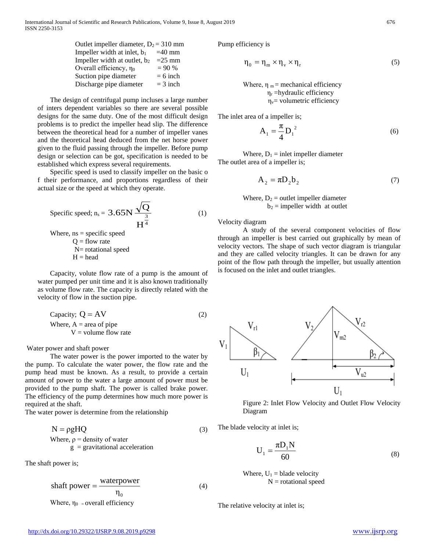| Outlet impeller diameter, $D_2 = 310$ mm |            |
|------------------------------------------|------------|
| Impeller width at inlet, $b_1$           | $=40$ mm   |
| Impeller width at outlet, $b_2$          | $=25$ mm   |
| Overall efficiency, $\eta_0$             | $= 90 %$   |
| Suction pipe diameter                    | $= 6$ inch |
| Discharge pipe diameter                  | $=$ 3 inch |

The design of centrifugal pump incluses a large number of inters dependent variables so there are several possible designs for the same duty. One of the most difficult design problems is to predict the impeller head slip. The difference between the theoretical head for a number of impeller vanes and the theoretical head deduced from the net horse power given to the fluid passing through the impeller. Before pump design or selection can be got, specification is needed to be established which express several requirements.

Specific speed is used to classify impeller on the basic o f their performance, and proportions regardless of their actual size or the speed at which they operate.

Specific speed; 
$$
n_s = 3.65N \frac{\sqrt{Q}}{1^{\frac{3}{4}}}
$$
 (1)  
\nWhere, ns = specific speed  
\n $Q = \text{flow rate}$   
\nN= rotational speed  
\nH = head

Capacity, volute flow rate of a pump is the amount of water pumped per unit time and it is also known traditionally as volume flow rate. The capacity is directly related with the velocity of flow in the suction pipe.

Capacity; 
$$
Q = AV
$$

\nWhere,  $A = \text{area of pipe}$ 

\n $V = \text{volume flow rate}$ 

Water power and shaft power

The water power is the power imported to the water by the pump. To calculate the water power, the flow rate and the pump head must be known. As a result, to provide a certain amount of power to the water a large amount of power must be provided to the pump shaft. The power is called brake power. The efficiency of the pump determines how much more power is required at the shaft.

The water power is determine from the relationship

$$
N = \rho g H Q
$$
\nWhere,  $\rho$  = density of water

\n
$$
g = gravitational acceleration
$$
\n(3)

The shaft power is;

shaff power = 
$$
\frac{\text{waterpower}}{\eta_0}
$$
 (4)

\nWhere,  $\eta_0$  = overall efficiency

Pump efficiency is

$$
\eta_0 = \eta_m \times \eta_v \times \eta_r \tag{5}
$$

Where,  $\eta_m$  = mechanical efficiency  $\eta_r$  =hydraulic efficiency  $n_v$ = volumetric efficiency

The inlet area of a impeller is;

$$
A_1 = \frac{\pi}{4} D_1^2 \tag{6}
$$

Where,  $D_1$  = inlet impeller diameter The outlet area of a impeller is;

$$
A_2 = \pi D_2 b_2 \tag{7}
$$

Where,  $D_2$  = outlet impeller diameter  $b_2$  = impeller width at outlet

Velocity diagram

A study of the several component velocities of flow through an impeller is best carried out graphically by mean of velocity vectors. The shape of such vector diagram is triangular and they are called velocity triangles. It can be drawn for any point of the flow path through the impeller, but usually attention is focused on the inlet and outlet triangles.



Figure 2: Inlet Flow Velocity and Outlet Flow Velocity Diagram

The blade velocity at inlet is;

$$
U_1 = \frac{\pi D_1 N}{60}
$$
 (8)

Where,  $U_1$  = blade velocity  $N =$  rotational speed

The relative velocity at inlet is;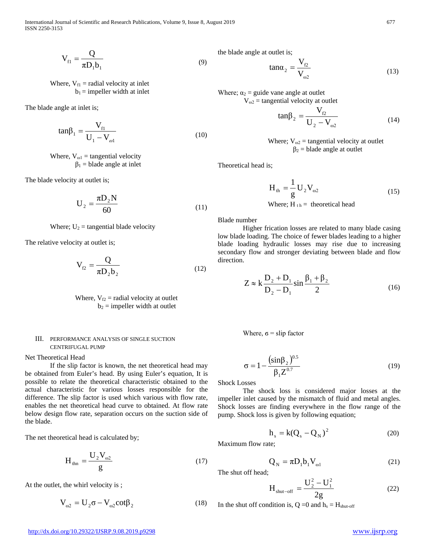International Journal of Scientific and Research Publications, Volume 9, Issue 8, August 2019 677 ISSN 2250-3153

$$
V_{f1} = \frac{Q}{\pi D_1 b_1} \tag{9}
$$

Where,  $V_{f1}$  = radial velocity at inlet  $b_1$  = impeller width at inlet

The blade angle at inlet is;

$$
\tan\beta_1 = \frac{\mathbf{V}_{\text{f1}}}{\mathbf{U}_1 - \mathbf{V}_{\text{ol}}} \tag{10}
$$

Where,  $V_{\omega 1}$  = tangential velocity  $\beta_1$  = blade angle at inlet

The blade velocity at outlet is;

$$
U_2 = \frac{\pi D_2 N}{60} \tag{11}
$$

Where;  $U_2$  = tangential blade velocity

The relative velocity at outlet is;

$$
V_{r2} = \frac{Q}{\pi D_2 b_2} \tag{12}
$$

Where,  $V_{f2}$  = radial velocity at outlet  $b_2$  = impeller width at outlet

### III. PERFORMANCE ANALYSIS OF SINGLE SUCTION CENTRIFUGAL PUMP

Net Theoretical Head

If the slip factor is known, the net theoretical head may be obtained from Euler's head. By using Euler's equation, It is possible to relate the theoretical characteristic obtained to the actual characteristic for various losses responsible for the difference. The slip factor is used which various with flow rate, enables the net theoretical head curve to obtained. At flow rate below design flow rate, separation occurs on the suction side of the blade.

The net theoretical head is calculated by;

$$
H_{\rm thn} = \frac{U_2 V_{\omega 2}}{g} \tag{17}
$$

At the outlet, the whirl velocity is ;

$$
V_{\omega 2} = U_2 \sigma - V_{\omega 2} \cot \beta_2 \tag{18}
$$

the blade angle at outlet is;

$$
\tan \alpha_2 = \frac{V_{r2}}{V_{\omega 2}}
$$
 (13)

Where;  $\alpha_2$  = guide vane angle at outlet

$$
V_{\omega 2}
$$
 = tangential velocity at outlet

$$
\tan\beta_2 = \frac{\mathbf{v}_{\text{f2}}}{\mathbf{U}_2 - \mathbf{V}_{\text{d2}}} \tag{14}
$$

Where;  $V_{\omega^2}$  = tangential velocity at outlet  $\beta_2$  = blade angle at outlet

Theoretical head is;

$$
H_{th} = \frac{1}{g} U_2 V_{\omega 2}
$$
  
Where; H<sub>th</sub> = theoretical head (15)

Blade number

Higher frication losses are related to many blade casing low blade loading. The choice of fewer blades leading to a higher blade loading hydraulic losses may rise due to increasing secondary flow and stronger deviating between blade and flow direction.

$$
Z \approx k \frac{D_2 + D_1}{D_2 - D_1} \sin \frac{\beta_1 + \beta_2}{2}
$$
 (16)

Where,  $\sigma$  = slip factor

$$
\sigma = 1 - \frac{(\sin \beta_2)^{0.5}}{\beta_1 Z^{0.7}}
$$
 (19)

Shock Losses

The shock loss is considered major losses at the impeller inlet caused by the mismatch of fluid and metal angles. Shock losses are finding everywhere in the flow range of the pump. Shock loss is given by following equation;

$$
h_s = k(Q_s - Q_N)^2 \tag{20}
$$

Maximum flow rate;

$$
\mathbf{Q}_{\mathrm{N}} = \pi \mathbf{D}_{1} \mathbf{b}_{1} \mathbf{V}_{\mathrm{ol}} \tag{21}
$$

The shut off head;

$$
H_{\text{shut-off}} = \frac{U_2^2 - U_1^2}{2g} \tag{22}
$$

In the shut off condition is,  $Q = 0$  and  $h_s = H_{shut-off}$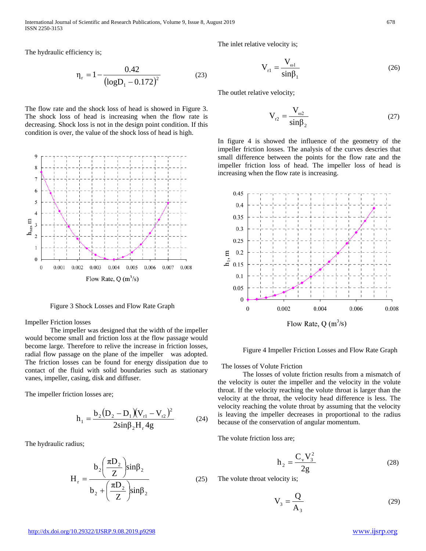International Journal of Scientific and Research Publications, Volume 9, Issue 8, August 2019 678 ISSN 2250-3153

The hydraulic efficiency is;

$$
\eta_{\rm r} = 1 - \frac{0.42}{\left(\log D_1 - 0.172\right)^2} \tag{23}
$$

The flow rate and the shock loss of head is showed in Figure 3. The shock loss of head is increasing when the flow rate is decreasing. Shock loss is not in the design point condition. If this condition is over, the value of the shock loss of head is high.



Figure 3 Shock Losses and Flow Rate Graph

#### Impeller Friction losses

The impeller was designed that the width of the impeller would become small and friction loss at the flow passage would become large. Therefore to relive the increase in friction losses, radial flow passage on the plane of the impeller was adopted. The friction losses can be found for energy dissipation due to contact of the fluid with solid boundaries such as stationary vanes, impeller, casing, disk and diffuser.

The impeller friction losses are;

$$
h_1 = \frac{b_2 (D_2 - D_1)(V_{r1} - V_{r2})^2}{2\sin\beta_2 H_r 4g}
$$
 (24)

The hydraulic radius;

$$
H_r = \frac{b_2 \left(\frac{\pi D_2}{Z}\right) \sin\beta_2}{b_2 + \left(\frac{\pi D_2}{Z}\right) \sin\beta_2}
$$
 (25)

The inlet relative velocity is;

$$
V_{r1} = \frac{V_{\omega 1}}{\sin \beta_1} \tag{26}
$$

The outlet relative velocity;

$$
V_{r2} = \frac{V_{\omega 2}}{\sin \beta_2} \tag{27}
$$

In figure 4 is showed the influence of the geometry of the impeller friction losses. The analysis of the curves descries that small difference between the points for the flow rate and the impeller friction loss of head. The impeller loss of head is increasing when the flow rate is increasing.



Flow Rate,  $Q(m^3/s)$ 

Figure 4 Impeller Friction Losses and Flow Rate Graph

The losses of Volute Friction

The losses of volute friction results from a mismatch of the velocity is outer the impeller and the velocity in the volute throat. If the velocity reaching the volute throat is larger than the velocity at the throat, the velocity head difference is less. The velocity reaching the volute throat by assuming that the velocity is leaving the impeller decreases in proportional to the radius because of the conservation of angular momentum.

The volute friction loss are;

$$
h_2 = \frac{C_v V_3^2}{2g}
$$
 (28)

The volute throat velocity is;

$$
V_3 = \frac{Q}{A_3} \tag{29}
$$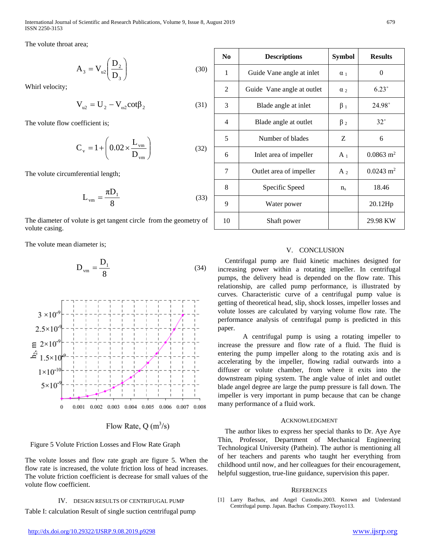The volute throat area;

$$
A_3 = V_{u2} \left( \frac{D_2}{D_3} \right) \tag{30}
$$

Whirl velocity;

$$
V_{u2} = U_2 - V_{\omega 2} \cot \beta_2 \tag{31}
$$

The volute flow coefficient is;

$$
C_{v} = 1 + \left(0.02 \times \frac{L_{vm}}{D_{vm}}\right)
$$
 (32)

The volute circumferential length;

$$
L_{\rm vw} = \frac{\pi D_1}{8} \tag{33}
$$

The diameter of volute is get tangent circle from the geometry of volute casing.

The volute mean diameter is;

$$
D_{\rm vn} = \frac{D_1}{8} \tag{34}
$$



Flow Rate,  $Q(m^3/s)$ 

Figure 5 Volute Friction Losses and Flow Rate Graph

The volute losses and flow rate graph are figure 5. When the flow rate is increased, the volute friction loss of head increases. The volute friction coefficient is decrease for small values of the volute flow coefficient.

## IV. DESIGN RESULTS OF CENTRIFUGAL PUMP

Table I: calculation Result of single suction centrifugal pump

| N <sub>0</sub> | <b>Descriptions</b>        | Symbol         | <b>Results</b>          |
|----------------|----------------------------|----------------|-------------------------|
| 1              | Guide Vane angle at inlet  | $\alpha_1$     | 0                       |
| 2              | Guide Vane angle at outlet | $\alpha_2$     | $6.23^\circ$            |
| 3              | Blade angle at inlet       | $\beta_1$      | 24.98°                  |
| 4              | Blade angle at outlet      | $\beta$ 2      | $32^\circ$              |
| 5              | Number of blades           | Z              | 6                       |
| 6              | Inlet area of impeller     | $A_1$          | $0.0863$ m <sup>2</sup> |
| 7              | Outlet area of impeller    | $A_2$          | $0.0243 \text{ m}^2$    |
| 8              | Specific Speed             | n <sub>s</sub> | 18.46                   |
| 9              | Water power                |                | 20.12Hp                 |
| 10             | Shaft power                |                | 29.98 KW                |

## V. CONCLUSION

Centrifugal pump are fluid kinetic machines designed for increasing power within a rotating impeller. In centrifugal pumps, the delivery head is depended on the flow rate. This relationship, are called pump performance, is illustrated by curves. Characteristic curve of a centrifugal pump value is getting of theoretical head, slip, shock losses, impeller losses and volute losses are calculated by varying volume flow rate. The performance analysis of centrifugal pump is predicted in this paper.

A centrifugal pump is using a rotating impeller to increase the pressure and flow rate of a fluid. The fluid is entering the pump impeller along to the rotating axis and is accelerating by the impeller, flowing radial outwards into a diffuser or volute chamber, from where it exits into the downstream piping system. The angle value of inlet and outlet blade angel degree are large the pump pressure is fall down. The impeller is very important in pump because that can be change many performance of a fluid work.

## ACKNOWLEDGMENT

The author likes to express her special thanks to Dr. Aye Aye Thin, Professor, Department of Mechanical Engineering Technological University (Pathein). The author is mentioning all of her teachers and parents who taught her everything from childhood until now, and her colleagues for their encouragement, helpful suggestion, true-line guidance, supervision this paper.

## **REFERENCES**

[1] Larry Bachus, and Angel Custodio.2003. Known and Understand Centrifugal pump. Japan. Bachus Company.Tkoyo113.